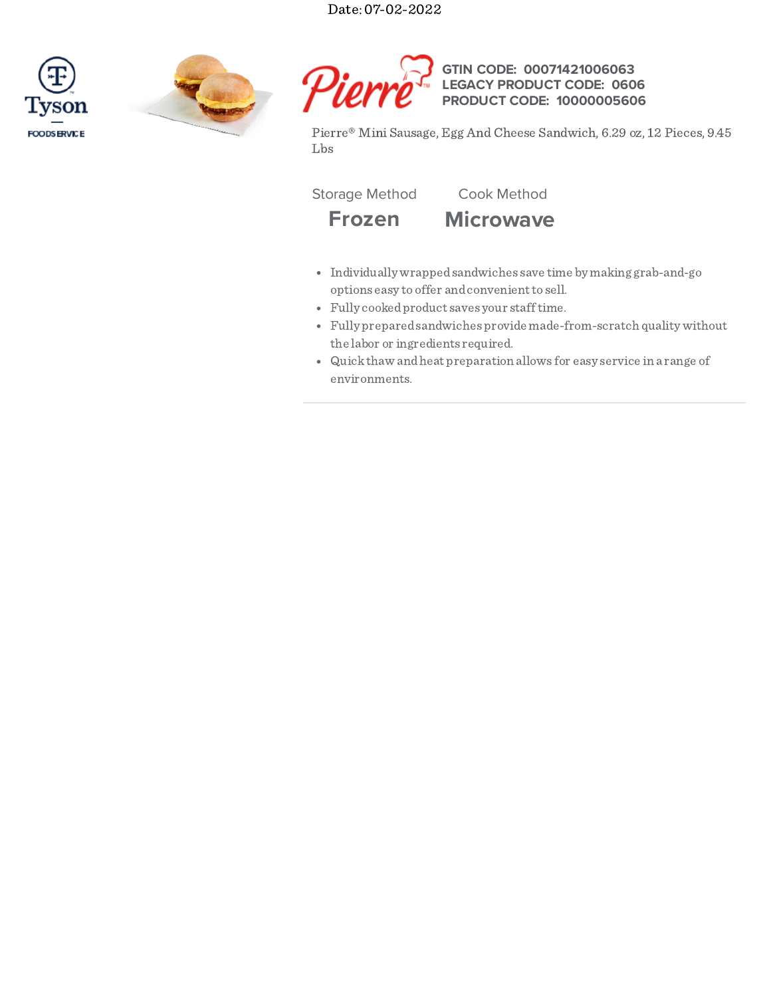Date: 07-02-2022







#### **GTIN CODE: LEGACY PRODUCT CODE: PRODUCT CODE: 10000005606 00071421006063 0606**

Pierre® Mini Sausage, Egg And Cheese Sandwich, 6.29 oz, 12 Pieces, 9.45 Lbs

Storage Method Cook Method

**Frozen Microwave**

- Individually wrappedsandwiches save time by making grab-and-go options easy to offer and convenient to sell.
- Fully cookedproduct saves your stafftime.
- Fully preparedsandwiches provide made-from-scratch quality without the labor or ingredients required.
- Quickthaw andheat preparation allows for easy service in a range of environments.